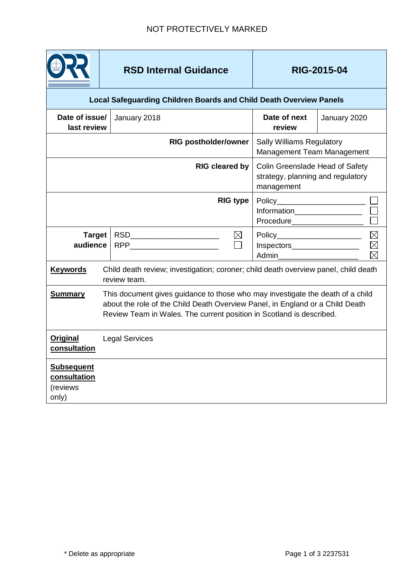

## RSD Internal Guidance RIG-2015-04

| <b>Local Safeguarding Children Boards and Child Death Overview Panels</b> |                                                                                                                                                                                                                                         |                                                                                                                                                                                                                                                                                 |                                                                                    |                                                   |  |
|---------------------------------------------------------------------------|-----------------------------------------------------------------------------------------------------------------------------------------------------------------------------------------------------------------------------------------|---------------------------------------------------------------------------------------------------------------------------------------------------------------------------------------------------------------------------------------------------------------------------------|------------------------------------------------------------------------------------|---------------------------------------------------|--|
| Date of issue/<br>last review                                             |                                                                                                                                                                                                                                         | January 2018                                                                                                                                                                                                                                                                    | Date of next<br>review                                                             | January 2020                                      |  |
|                                                                           |                                                                                                                                                                                                                                         | <b>RIG postholder/owner</b>                                                                                                                                                                                                                                                     | <b>Sally Williams Regulatory</b><br>Management Team Management                     |                                                   |  |
|                                                                           |                                                                                                                                                                                                                                         | <b>RIG cleared by</b>                                                                                                                                                                                                                                                           | Colin Greenslade Head of Safety<br>strategy, planning and regulatory<br>management |                                                   |  |
|                                                                           |                                                                                                                                                                                                                                         | <b>RIG type</b>                                                                                                                                                                                                                                                                 | Policy_________________________                                                    | Information_______________________ □<br>Procedure |  |
| <b>Target</b><br>audience                                                 |                                                                                                                                                                                                                                         | $\boxtimes$<br>RSD___________________________<br>RPP and the contract of the contract of the contract of the contract of the contract of the contract of the contract of the contract of the contract of the contract of the contract of the contract of the contract of the co | Admin <b>Administration</b>                                                        |                                                   |  |
| <b>Keywords</b>                                                           | Child death review; investigation; coroner; child death overview panel, child death<br>review team.                                                                                                                                     |                                                                                                                                                                                                                                                                                 |                                                                                    |                                                   |  |
| <b>Summary</b>                                                            | This document gives guidance to those who may investigate the death of a child<br>about the role of the Child Death Overview Panel, in England or a Child Death<br>Review Team in Wales. The current position in Scotland is described. |                                                                                                                                                                                                                                                                                 |                                                                                    |                                                   |  |
| <b>Original</b><br>consultation                                           | <b>Legal Services</b>                                                                                                                                                                                                                   |                                                                                                                                                                                                                                                                                 |                                                                                    |                                                   |  |
| <b>Subsequent</b><br>consultation<br>(reviews<br>only)                    |                                                                                                                                                                                                                                         |                                                                                                                                                                                                                                                                                 |                                                                                    |                                                   |  |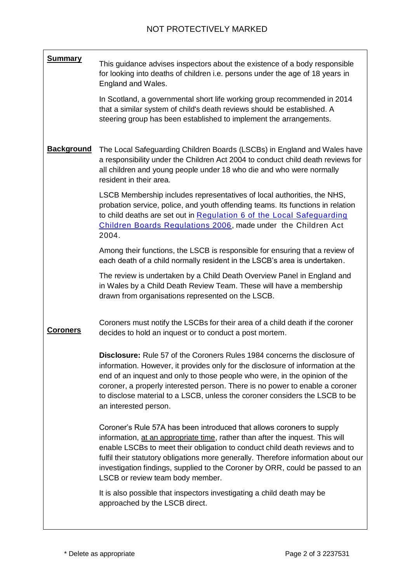**Summary Background Coroners** This guidance advises inspectors about the existence of a body responsible for looking into deaths of children i.e. persons under the age of 18 years in England and Wales. In Scotland, a governmental short life working group recommended in 2014 that a similar system of child's death reviews should be established. A steering group has been established to implement the arrangements. The Local Safeguarding Children Boards (LSCBs) in England and Wales have a responsibility under the Children Act 2004 to conduct child death reviews for all children and young people under 18 who die and who were normally resident in their area. LSCB Membership includes representatives of local authorities, the NHS, probation service, police, and youth offending teams. Its functions in relation to child deaths are set out in [Regulation 6 of the Local Safeguarding](http://www.legislation.gov.uk/uksi/2006/90/regulation/6/made)  [Children Boards Regulations 2006,](http://www.legislation.gov.uk/uksi/2006/90/regulation/6/made) made under [the Children Act](http://www.legislation.gov.uk/ukpga/2004/31/section/14)  [2004.](http://www.legislation.gov.uk/ukpga/2004/31/section/14) Among their functions, the LSCB is responsible for ensuring that a review of each death of a child normally resident in the LSCB's area is undertaken. The review is undertaken by a Child Death Overview Panel in England and in Wales by a Child Death Review Team. These will have a membership drawn from organisations represented on the LSCB. Coroners must notify the LSCBs for their area of a child death if the coroner decides to hold an inquest or to conduct a post mortem. **Disclosure:** Rule 57 of the Coroners Rules 1984 concerns the disclosure of information. However, it provides only for the disclosure of information at the end of an inquest and only to those people who were, in the opinion of the coroner, a properly interested person. There is no power to enable a coroner to disclose material to a LSCB, unless the coroner considers the LSCB to be an interested person. Coroner's Rule 57A has been introduced that allows coroners to supply information, at an appropriate time, rather than after the inquest. This will enable LSCBs to meet their obligation to conduct child death reviews and to fulfil their statutory obligations more generally. Therefore information about our investigation findings, supplied to the Coroner by ORR, could be passed to an LSCB or review team body member. It is also possible that inspectors investigating a child death may be approached by the LSCB direct.